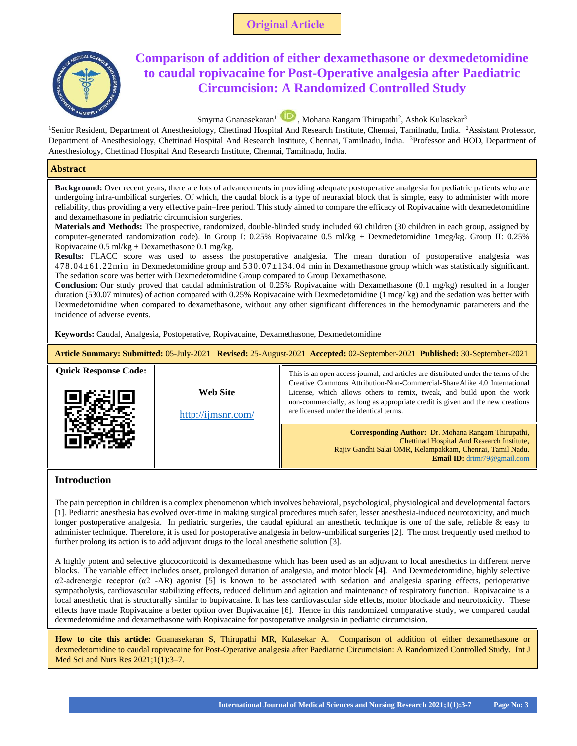**Original Article** 



# **to caudal ropivacaine for Post-Operative analgesia after Paediatric Comparison of addition of either dexamethasone or dexmedetomidine Circumcision: A Randomized Controlled Study**

Smyrna Gnanasekaran<sup>1</sup> (D, Mohana Rangam Thirupathi<sup>2</sup>, Ashok Kulasekar<sup>3</sup>

<sup>1</sup>Senior Resident, Department of Anesthesiology, Chettinad Hospital And Research Institute, Chennai, Tamilnadu, India. <sup>2</sup>Assistant Professor, Department of Anesthesiology, Chettinad Hospital And Research Institute, Chennai, Tamilnadu, India. <sup>3</sup>Professor and HOD, Department of Anesthesiology, Chettinad Hospital And Research Institute, Chennai, Tamilnadu, India.

## **Abstract**

**Background:** Over recent years, there are lots of advancements in providing adequate postoperative analgesia for pediatric patients who are undergoing infra-umbilical surgeries. Of which, the caudal block is a type of neuraxial block that is simple, easy to administer with more reliability, thus providing a very effective pain–free period. This study aimed to compare the efficacy of Ropivacaine with dexmedetomidine and dexamethasone in pediatric circumcision surgeries.

**Materials and Methods:** The prospective, randomized, double-blinded study included 60 children (30 children in each group, assigned by computer-generated randomization code). In Group I: 0.25% Ropivacaine 0.5 ml/kg + Dexmedetomidine 1mcg/kg. Group II: 0.25% Ropivacaine 0.5 ml/kg + Dexamethasone 0.1 mg/kg.

**Results:** FLACC score was used to assess the postoperative analgesia. The mean duration of postoperative analgesia was  $478.04\pm61.22$  min in Dexmedetomidine group and  $530.07\pm134.04$  min in Dexamethasone group which was statistically significant. The sedation score was better with Dexmedetomidine Group compared to Group Dexamethasone.

**Conclusion:** Our study proved that caudal administration of 0.25% Ropivacaine with Dexamethasone (0.1 mg/kg) resulted in a longer duration (530.07 minutes) of action compared with 0.25% Ropivacaine with Dexmedetomidine (1 mcg/ kg) and the sedation was better with Dexmedetomidine when compared to dexamethasone, without any other significant differences in the hemodynamic parameters and the incidence of adverse events.

**Article Summary: Submitted:** 05-July-2021 **Revised:** 25-August-2021 **Accepted:** 02-September-2021 **Published:** 30-September-2021

**Keywords:** Caudal, Analgesia, Postoperative, Ropivacaine, Dexamethasone, Dexmedetomidine

| Article Summary: Submitted: 05-July-2021 Revised: 25-August-2021 Accepted: 02-September-2021 Published: 50-September-2021 |                                |                                                                                                                                                                                                      |  |  |
|---------------------------------------------------------------------------------------------------------------------------|--------------------------------|------------------------------------------------------------------------------------------------------------------------------------------------------------------------------------------------------|--|--|
| <b>Ouick Response Code:</b>                                                                                               |                                | This is an open access journal, and articles are distributed under the terms of the<br>Creative Commons Attribution-Non-Commercial-ShareAlike 4.0 International                                      |  |  |
|                                                                                                                           | Web Site<br>http://ijmsnr.com/ | License, which allows others to remix, tweak, and build upon the work<br>non-commercially, as long as appropriate credit is given and the new creations<br>are licensed under the identical terms.   |  |  |
|                                                                                                                           |                                | Corresponding Author: Dr. Mohana Rangam Thirupathi,<br>Chettinad Hospital And Research Institute,<br>Rajiv Gandhi Salai OMR, Kelampakkam, Chennai, Tamil Nadu.<br><b>Email ID:</b> drtmr79@gmail.com |  |  |

## **Introduction**

The pain perception in children is a complex phenomenon which involves behavioral, psychological, physiological and developmental factors [1]. Pediatric anesthesia has evolved over-time in making surgical procedures much safer, lesser anesthesia-induced neurotoxicity, and much longer postoperative analgesia. In pediatric surgeries, the caudal epidural an anesthetic technique is one of the safe, reliable & easy to administer technique. Therefore, it is used for postoperative analgesia in below-umbilical surgeries [2]. The most frequently used method to further prolong its action is to add adjuvant drugs to the local anesthetic solution [3].

A highly potent and selective glucocorticoid is dexamethasone which has been used as an adjuvant to local anesthetics in different nerve blocks. The variable effect includes onset, prolonged duration of analgesia, and motor block [4]. And Dexmedetomidine, highly selective α2-adrenergic receptor (α2 -AR) agonist [5] is known to be associated with sedation and analgesia sparing effects, perioperative sympatholysis, cardiovascular stabilizing effects, reduced delirium and agitation and maintenance of respiratory function. Ropivacaine is a local anesthetic that is structurally similar to bupivacaine. It has less cardiovascular side effects, motor blockade and neurotoxicity. These effects have made Ropivacaine a better option over Bupivacaine [6]. Hence in this randomized comparative study, we compared caudal dexmedetomidine and dexamethasone with Ropivacaine for postoperative analgesia in pediatric circumcision.

**How to cite this article:** Gnanasekaran S, Thirupathi MR, Kulasekar A. Comparison of addition of either dexamethasone or dexmedetomidine to caudal ropivacaine for Post-Operative analgesia after Paediatric Circumcision: A Randomized Controlled Study. Int J Med Sci and Nurs Res 2021;1(1):3–7.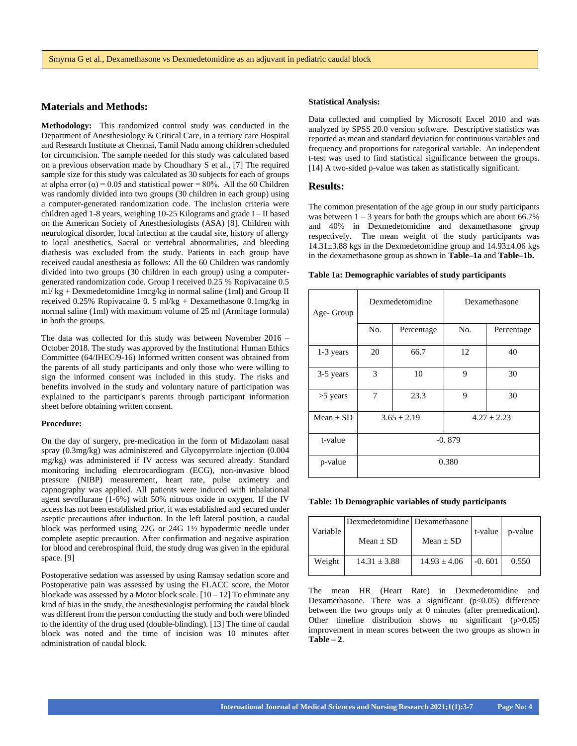#### **Materials and Methods:**

**Methodology:** This randomized control study was conducted in the Department of Anesthesiology & Critical Care, in a tertiary care Hospital and Research Institute at Chennai, Tamil Nadu among children scheduled for circumcision. The sample needed for this study was calculated based on a previous observation made by Choudhary S et al., [7] The required sample size for this study was calculated as 30 subjects for each of groups at alpha error  $(\alpha) = 0.05$  and statistical power = 80%. All the 60 Children was randomly divided into two groups (30 children in each group) using a computer-generated randomization code. The inclusion criteria were children aged 1-8 years, weighing 10-25 Kilograms and grade I – II based on the American Society of Anesthesiologists (ASA) [8]. Children with neurological disorder, local infection at the caudal site, history of allergy to local anesthetics, Sacral or vertebral abnormalities, and bleeding diathesis was excluded from the study. Patients in each group have received caudal anesthesia as follows: All the 60 Children was randomly divided into two groups (30 children in each group) using a computergenerated randomization code. Group I received 0.25 % Ropivacaine 0.5 ml/ kg + Dexmedetomidine 1mcg/kg in normal saline (1ml) and Group II received 0.25% Ropivacaine 0. 5 ml/kg + Dexamethasone 0.1mg/kg in normal saline (1ml) with maximum volume of 25 ml (Armitage formula) in both the groups.

The data was collected for this study was between November 2016 – October 2018. The study was approved by the Institutional Human Ethics Committee (64/IHEC/9-16) Informed written consent was obtained from the parents of all study participants and only those who were willing to sign the informed consent was included in this study. The risks and benefits involved in the study and voluntary nature of participation was explained to the participant's parents through participant information sheet before obtaining written consent.

#### **Procedure:**

On the day of surgery, pre-medication in the form of Midazolam nasal spray (0.3mg/kg) was administered and Glycopyrrolate injection (0.004 mg/kg) was administered if IV access was secured already. Standard monitoring including electrocardiogram (ECG), non-invasive blood pressure (NIBP) measurement, heart rate, pulse oximetry and capnography was applied. All patients were induced with inhalational agent sevoflurane (1-6%) with 50% nitrous oxide in oxygen. If the IV access has not been established prior, it was established and secured under aseptic precautions after induction. In the left lateral position, a caudal block was performed using 22G or 24G 1½ hypodermic needle under complete aseptic precaution. After confirmation and negative aspiration for blood and cerebrospinal fluid, the study drug was given in the epidural space. [9]

Postoperative sedation was assessed by using Ramsay sedation score and Postoperative pain was assessed by using the FLACC score, the Motor blockade was assessed by a Motor block scale.  $[10 - 12]$  To eliminate any kind of bias in the study, the anesthesiologist performing the caudal block was different from the person conducting the study and both were blinded to the identity of the drug used (double-blinding). [13] The time of caudal block was noted and the time of incision was 10 minutes after administration of caudal block.

#### **Statistical Analysis:**

Data collected and complied by Microsoft Excel 2010 and was analyzed by SPSS 20.0 version software. Descriptive statistics was reported as mean and standard deviation for continuous variables and frequency and proportions for categorical variable. An independent t-test was used to find statistical significance between the groups. [14] A two-sided p-value was taken as statistically significant.

#### **Results:**

The common presentation of the age group in our study participants was between  $1 - 3$  years for both the groups which are about 66.7% and 40% in Dexmedetomidine and dexamethasone group respectively. The mean weight of the study participants was  $14.31\pm3.88$  kgs in the Dexmedetomidine group and  $14.93\pm4.06$  kgs in the dexamethasone group as shown in **Table–1a** and **Table–1b.**

| Table 1a: Demographic variables of study participants |  |  |
|-------------------------------------------------------|--|--|
|                                                       |  |  |

| Age- Group    | Dexmedetomidine                    |            | Dexamethasone |            |  |
|---------------|------------------------------------|------------|---------------|------------|--|
|               | No.                                | Percentage | No.           | Percentage |  |
| 1-3 years     | 20                                 | 66.7       | 12            | 40         |  |
| 3-5 years     | 3                                  | 10         | 9             | 30         |  |
| $>5$ years    | 7                                  | 23.3       | 9             | 30         |  |
| Mean $\pm$ SD | $3.65 \pm 2.19$<br>$4.27 \pm 2.23$ |            |               |            |  |
| t-value       | $-0.879$                           |            |               |            |  |
| p-value       | 0.380                              |            |               |            |  |

#### **Table: 1b Demographic variables of study participants**

|          | Dexmedetomidine   Dexamethasone |                  |          |         |
|----------|---------------------------------|------------------|----------|---------|
| Variable | $Mean + SD$                     | Mean $\pm$ SD    | t-value  | p-value |
| Weight   | $14.31 \pm 3.88$                | $14.93 \pm 4.06$ | $-0.601$ | 0.550   |

The mean HR (Heart Rate) in Dexmedetomidine and Dexamethasone. There was a significant  $(p<0.05)$  difference between the two groups only at 0 minutes (after premedication). Other timeline distribution shows no significant (p>0.05) improvement in mean scores between the two groups as shown in **Table – 2**.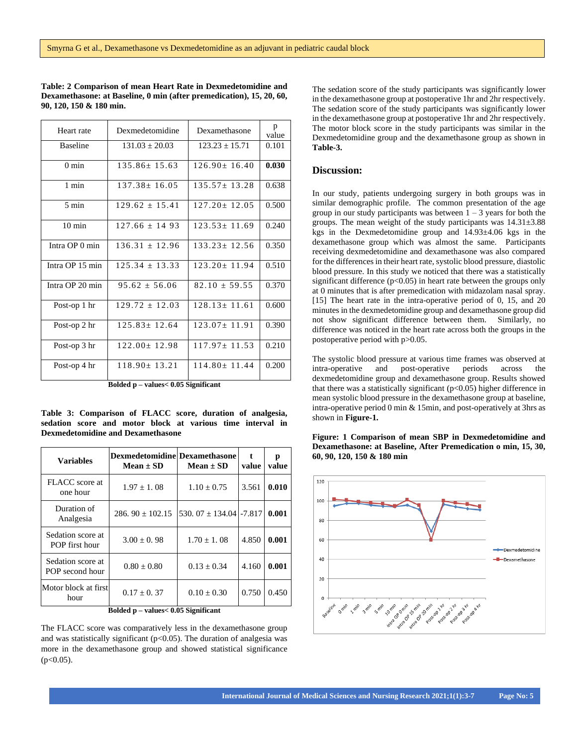| Heart rate       | Dexmedetomidine    | Dexamethasone       | p<br>value |
|------------------|--------------------|---------------------|------------|
| <b>Baseline</b>  | $131.03 + 20.03$   | $123.23 + 15.71$    | 0.101      |
| $0 \text{ min}$  | $135.86 + 15.63$   | $126.90 \div 16.40$ | 0.030      |
| $1$ min          | $137.38 + 16.05$   | $135.57 + 13.28$    | 0.638      |
| $5 \text{ min}$  | $129.62 \pm 15.41$ | $127.20 + 12.05$    | 0.500      |
| $10 \text{ min}$ | $127.66 + 14.93$   | $123.53 + 11.69$    | 0.240      |
| Intra OP 0 min   | $136.31 \pm 12.96$ | $133.23 \pm 12.56$  | 0.350      |
| Intra OP 15 min  | $125.34 \pm 13.33$ | $123.20 \pm 11.94$  | 0.510      |
| Intra OP 20 min  | $95.62 + 56.06$    | $82.10 + 59.55$     | 0.370      |
| Post-op 1 hr     | $129.72 \pm 12.03$ | $128.13 + 11.61$    | 0.600      |
| Post-op 2 hr     | $125.83 \pm 12.64$ | $123.07 \pm 11.91$  | 0.390      |
| Post-op 3 hr     | $122.00 \pm 12.98$ | $117.97 + 11.53$    | 0.210      |
| Post-op 4 hr     | $118.90 \pm 13.21$ | $114.80 \pm 11.44$  | 0.200      |

**Table: 2 Comparison of mean Heart Rate in Dexmedetomidine and Dexamethasone: at Baseline, 0 min (after premedication), 15, 20, 60, 90, 120, 150 & 180 min.**

**Bolded p – values< 0.05 Significant**

**Table 3: Comparison of FLACC score, duration of analgesia, sedation score and motor block at various time interval in Dexmedetomidine and Dexamethasone**

| <b>Variables</b>                     | Dexmedetomidine Dexamethasone<br>$Mean \pm SD$ | Mean $\pm$ SD               | $\mathbf t$<br>value | р<br>value |
|--------------------------------------|------------------------------------------------|-----------------------------|----------------------|------------|
| FLACC score at<br>one hour           | $1.97 \pm 1.08$                                | $1.10 \pm 0.75$             | 3.561                | 0.010      |
| Duration of<br>Analgesia             | 286. 90 $\pm$ 102.15                           | 530.07 $\pm$ 134.04 - 7.817 |                      | 0.001      |
| Sedation score at<br>POP first hour  | $3.00 \pm 0.98$                                | $1.70 \pm 1.08$             | 4.850                | 0.001      |
| Sedation score at<br>POP second hour | $0.80 \pm 0.80$                                | $0.13 \pm 0.34$             | 4.160                | 0.001      |
| Motor block at first<br>hour         | $0.17 \pm 0.37$                                | $0.10 + 0.30$               | 0.750                | 0.450      |

|  |  |  | Bolded p – values < 0.05 Significant |
|--|--|--|--------------------------------------|
|--|--|--|--------------------------------------|

The FLACC score was comparatively less in the dexamethasone group and was statistically significant ( $p<0.05$ ). The duration of analgesia was more in the dexamethasone group and showed statistical significance  $(p<0.05)$ .

The sedation score of the study participants was significantly lower in the dexamethasone group at postoperative 1hr and 2hr respectively. The sedation score of the study participants was significantly lower in the dexamethasone group at postoperative 1hr and 2hr respectively. The motor block score in the study participants was similar in the Dexmedetomidine group and the dexamethasone group as shown in **Table-3.**

# **Discussion:**

In our study, patients undergoing surgery in both groups was in similar demographic profile. The common presentation of the age group in our study participants was between  $1 - 3$  years for both the groups. The mean weight of the study participants was 14.31±3.88 kgs in the Dexmedetomidine group and 14.93±4.06 kgs in the dexamethasone group which was almost the same. Participants receiving dexmedetomidine and dexamethasone was also compared for the differences in their heart rate, systolic blood pressure, diastolic blood pressure. In this study we noticed that there was a statistically significant difference  $(p<0.05)$  in heart rate between the groups only at 0 minutes that is after premedication with midazolam nasal spray. [15] The heart rate in the intra-operative period of 0, 15, and 20 minutes in the dexmedetomidine group and dexamethasone group did not show significant difference between them. Similarly, no difference was noticed in the heart rate across both the groups in the postoperative period with p>0.05.

The systolic blood pressure at various time frames was observed at intra-operative and post-operative periods across the dexmedetomidine group and dexamethasone group. Results showed that there was a statistically significant  $(p<0.05)$  higher difference in mean systolic blood pressure in the dexamethasone group at baseline, intra-operative period 0 min & 15min, and post-operatively at 3hrs as shown in **Figure-1.**

**Figure: 1 Comparison of mean SBP in Dexmedetomidine and Dexamethasone: at Baseline, After Premedication o min, 15, 30, 60, 90, 120, 150 & 180 min**

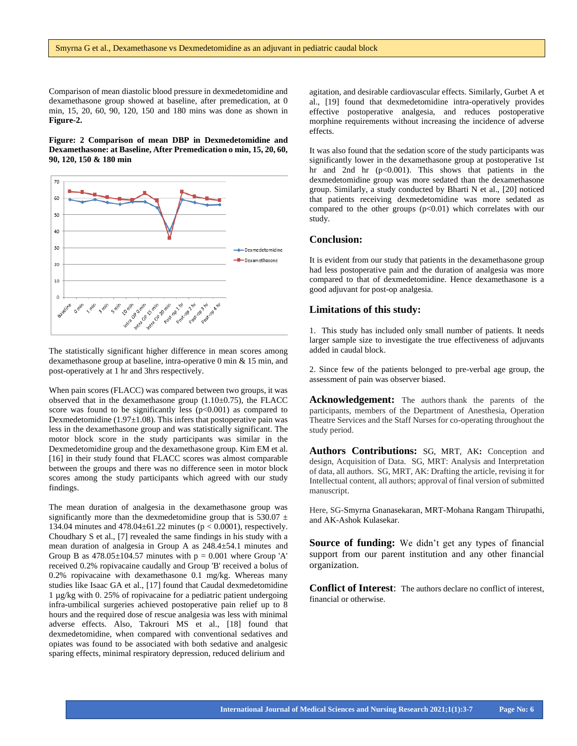Comparison of mean diastolic blood pressure in dexmedetomidine and dexamethasone group showed at baseline, after premedication, at 0 min, 15, 20, 60, 90, 120, 150 and 180 mins was done as shown in **Figure-2.**

**Figure: 2 Comparison of mean DBP in Dexmedetomidine and Dexamethasone: at Baseline, After Premedication o min, 15, 20, 60, 90, 120, 150 & 180 min**



The statistically significant higher difference in mean scores among dexamethasone group at baseline, intra-operative 0 min & 15 min, and post-operatively at 1 hr and 3hrs respectively.

When pain scores (FLACC) was compared between two groups, it was observed that in the dexamethasone group  $(1.10\pm0.75)$ , the FLACC score was found to be significantly less  $(p<0.001)$  as compared to Dexmedetomidine  $(1.97\pm1.08)$ . This infers that postoperative pain was less in the dexamethasone group and was statistically significant. The motor block score in the study participants was similar in the Dexmedetomidine group and the dexamethasone group. Kim EM et al. [16] in their study found that FLACC scores was almost comparable between the groups and there was no difference seen in motor block scores among the study participants which agreed with our study findings.

The mean duration of analgesia in the dexamethasone group was significantly more than the dexmedetomidine group that is 530.07  $\pm$ 134.04 minutes and  $478.04 \pm 61.22$  minutes ( $p < 0.0001$ ), respectively. Choudhary S et al., [7] revealed the same findings in his study with a mean duration of analgesia in Group A as 248.4±54.1 minutes and Group B as  $478.05 \pm 104.57$  minutes with  $p = 0.001$  where Group 'A' received 0.2% ropivacaine caudally and Group 'B' received a bolus of 0.2% ropivacaine with dexamethasone 0.1 mg/kg. Whereas many studies like Isaac GA et al., [17] found that Caudal dexmedetomidine 1 µg/kg with 0. 25% of ropivacaine for a pediatric patient undergoing infra-umbilical surgeries achieved postoperative pain relief up to 8 hours and the required dose of rescue analgesia was less with minimal adverse effects. Also, Takrouri MS et al., [18] found that dexmedetomidine, when compared with conventional sedatives and opiates was found to be associated with both sedative and analgesic sparing effects, minimal respiratory depression, reduced delirium and

agitation, and desirable cardiovascular effects. Similarly, Gurbet A et al., [19] found that dexmedetomidine intra-operatively provides effective postoperative analgesia, and reduces postoperative morphine requirements without increasing the incidence of adverse effects.

It was also found that the sedation score of the study participants was significantly lower in the dexamethasone group at postoperative 1st hr and 2nd hr (p<0.001). This shows that patients in the dexmedetomidine group was more sedated than the dexamethasone group. Similarly, a study conducted by Bharti N et al., [20] noticed that patients receiving dexmedetomidine was more sedated as compared to the other groups  $(p<0.01)$  which correlates with our study.

#### **Conclusion:**

It is evident from our study that patients in the dexamethasone group had less postoperative pain and the duration of analgesia was more compared to that of dexmedetomidine. Hence dexamethasone is a good adjuvant for post-op analgesia.

### **Limitations of this study:**

1. This study has included only small number of patients. It needs larger sample size to investigate the true effectiveness of adjuvants added in caudal block.

2. Since few of the patients belonged to pre-verbal age group, the assessment of pain was observer biased.

**Acknowledgement:** The authors thank the parents of the participants, members of the Department of Anesthesia, Operation Theatre Services and the Staff Nurses for co-operating throughout the study period.

**Authors Contributions:** SG, MRT, AK**:** Conception and design, Acquisition of Data. SG, MRT: Analysis and Interpretation of data, all authors. SG, MRT, AK: Drafting the article, revising it for Intellectual content, all authors; approval of final version of submitted manuscript.

Here, SG-Smyrna Gnanasekaran, MRT-Mohana Rangam Thirupathi, and AK-Ashok Kulasekar.

**Source of funding:** We didn't get any types of financial support from our parent institution and any other financial organization.

**Conflict of Interest**: The authors declare no conflict of interest, financial or otherwise.